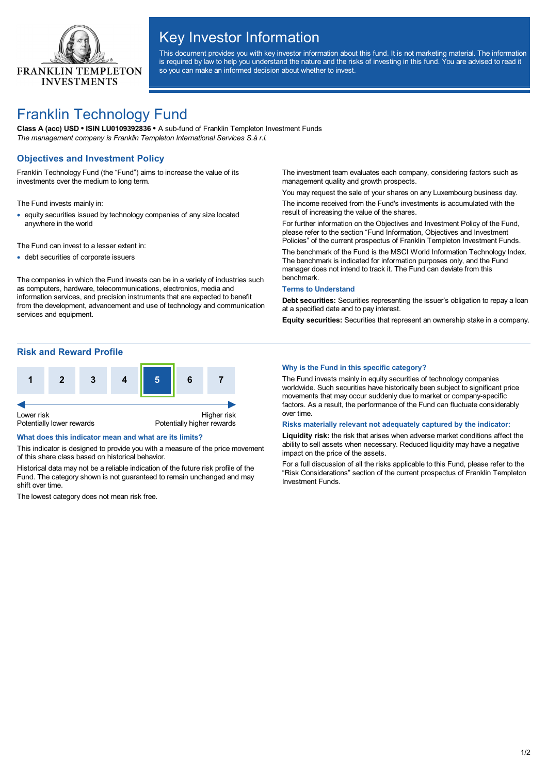

# Key Investor Information

This document provides you with key investor information about this fund. It is not marketing material. The information is required by law to help you understand the nature and the risks of investing in this fund. You are advised to read it so you can make an informed decision about whether to invest.

# Franklin Technology Fund

**Class A (acc) USD • ISIN LU0109392836 •** A sub-fund of Franklin Templeton Investment Funds *The management company is Franklin Templeton International Services S.à r.l.*

# **Objectives and Investment Policy**

Franklin Technology Fund (the "Fund") aims to increase the value of its investments over the medium to long term.

The Fund invests mainly in:

· equity securities issued by technology companies of any size located anywhere in the world

The Fund can invest to a lesser extent in:

· debt securities of corporate issuers

The companies in which the Fund invests can be in a variety of industries such as computers, hardware, telecommunications, electronics, media and information services, and precision instruments that are expected to benefit from the development, advancement and use of technology and communication services and equipment.

The investment team evaluates each company, considering factors such as management quality and growth prospects.

You may request the sale of your shares on any Luxembourg business day. The income received from the Fund's investments is accumulated with the result of increasing the value of the shares.

For further information on the Objectives and Investment Policy of the Fund, please refer to the section "Fund Information, Objectives and Investment Policies" of the current prospectus of Franklin Templeton Investment Funds.

The benchmark of the Fund is the MSCI World Information Technology Index. The benchmark is indicated for information purposes only, and the Fund manager does not intend to track it. The Fund can deviate from this benchmark.

#### **Terms to Understand**

**Debt securities:** Securities representing the issuer's obligation to repay a loan at a specified date and to pay interest.

**Equity securities:** Securities that represent an ownership stake in a company.

## **Risk and Reward Profile**



### **What does this indicator mean and what are its limits?**

This indicator is designed to provide you with a measure of the price movement of this share class based on historical behavior.

Historical data may not be a reliable indication of the future risk profile of the Fund. The category shown is not guaranteed to remain unchanged and may shift over time.

The lowest category does not mean risk free.

#### **Why is the Fund in this specific category?**

The Fund invests mainly in equity securities of technology companies worldwide. Such securities have historically been subject to significant price movements that may occur suddenly due to market or company-specific factors. As a result, the performance of the Fund can fluctuate considerably over time.

#### **Risks materially relevant not adequately captured by the indicator:**

**Liquidity risk:** the risk that arises when adverse market conditions affect the ability to sell assets when necessary. Reduced liquidity may have a negative impact on the price of the assets.

For a full discussion of all the risks applicable to this Fund, please refer to the "Risk Considerations" section of the current prospectus of Franklin Templeton Investment Funds.